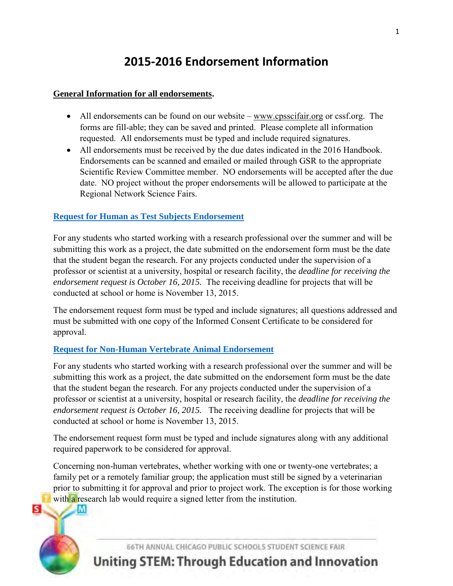## **2015-2016 Endorsement Information**

#### **General Information for all endorsements.**

- All endorsements can be found on our website  $-\underline{www.cpsscifair.org}$  or cssf.org. The forms are fill-able; they can be saved and printed. Please complete all information requested. All endorsements must be typed and include required signatures.
- All endorsements must be received by the due dates indicated in the 2016 Handbook. Endorsements can be scanned and emailed or mailed through GSR to the appropriate Scientific Review Committee member. NO endorsements will be accepted after the due date. NO project without the proper endorsements will be allowed to participate at the Regional Network Science Fairs.

#### **[Request for Human as Test Subjects Endorsement](http://cpsscifair.org/Docs/HumanVert8.pdf)**

For any students who started working with a research professional over the summer and will be submitting this work as a project, the date submitted on the endorsement form must be the date that the student began the research. For any projects conducted under the supervision of a professor or scientist at a university, hospital or research facility, the *deadline for receiving the endorsement request is October 16, 2015.* The receiving deadline for projects that will be conducted at school or home is November 13, 2015.

The endorsement request form must be typed and include signatures; all questions addressed and must be submitted with one copy of the Informed Consent Certificate to be considered for approval.

#### **[Request for Non-Human Vertebrate Animal Endorsement](http://cpsscifair.org/Docs/NonHumanVert8.pdf)**

For any students who started working with a research professional over the summer and will be submitting this work as a project, the date submitted on the endorsement form must be the date that the student began the research. For any projects conducted under the supervision of a professor or scientist at a university, hospital or research facility, the *deadline for receiving the endorsement request is October 16, 2015.* The receiving deadline for projects that will be conducted at school or home is November 13, 2015.

The endorsement request form must be typed and include signatures along with any additional required paperwork to be considered for approval.

Concerning non-human vertebrates, whether working with one or twenty-one vertebrates; a family pet or a remotely familiar group; the application must still be signed by a veterinarian prior to submitting it for approval and prior to project work. The exception is for those working with a research lab would require a signed letter from the institution.



66TH ANNUAL CHICAGO PUBLIC SCHOOLS STUDENT SCIENCE FAIR

# **Uniting STEM: Through Education and Innovation**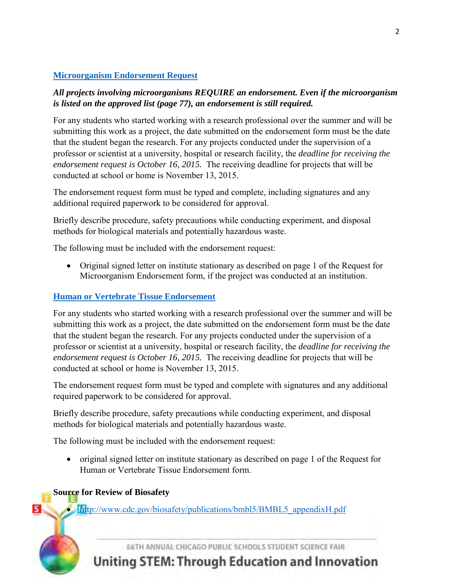## **[Microorganism Endorsement Request](http://cpsscifair.org/Docs/Microorg8.pdf)**

### *All projects involving microorganisms REQUIRE an endorsement. Even if the microorganism is listed on the approved list (page 77), an endorsement is still required.*

For any students who started working with a research professional over the summer and will be submitting this work as a project, the date submitted on the endorsement form must be the date that the student began the research. For any projects conducted under the supervision of a professor or scientist at a university, hospital or research facility, the *deadline for receiving the endorsement request is October 16, 2015.* The receiving deadline for projects that will be conducted at school or home is November 13, 2015.

The endorsement request form must be typed and complete, including signatures and any additional required paperwork to be considered for approval.

Briefly describe procedure, safety precautions while conducting experiment, and disposal methods for biological materials and potentially hazardous waste.

The following must be included with the endorsement request:

 Original signed letter on institute stationary as described on page 1 of the Request for Microorganism Endorsement form, if the project was conducted at an institution.

## **[Human or Vertebrate Tissue Endorsement](http://cpsscifair.org/Docs/humverttissue8.pdf)**

For any students who started working with a research professional over the summer and will be submitting this work as a project, the date submitted on the endorsement form must be the date that the student began the research. For any projects conducted under the supervision of a professor or scientist at a university, hospital or research facility, the *deadline for receiving the endorsement request is October 16, 2015.* The receiving deadline for projects that will be conducted at school or home is November 13, 2015.

The endorsement request form must be typed and complete with signatures and any additional required paperwork to be considered for approval.

Briefly describe procedure, safety precautions while conducting experiment, and disposal methods for biological materials and potentially hazardous waste.

The following must be included with the endorsement request:

 original signed letter on institute stationary as described on page 1 of the Request for Human or Vertebrate Tissue Endorsement form.

## **Source for Review of Biosafety**

S.

• http://www.cdc.gov/biosafety/publications/bmbl5/BMBL5 appendixH.pdf

66TH ANNUAL CHICAGO PUBLIC SCHOOLS STUDENT SCIENCE FAIR

**Uniting STEM: Through Education and Innovation**